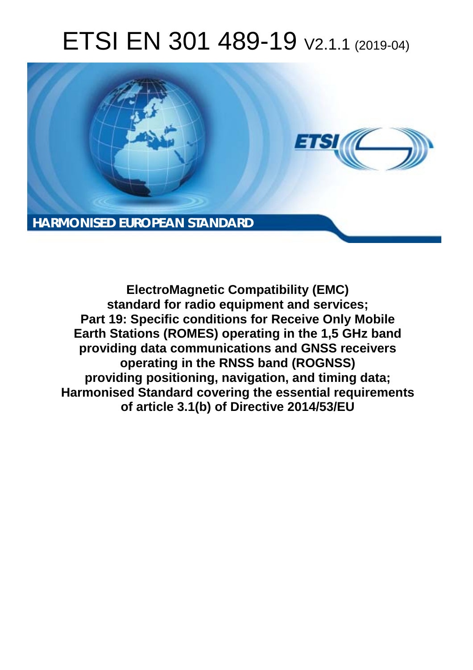# ETSI EN 301 489-19 V2.1.1 (2019-04)



**ElectroMagnetic Compatibility (EMC) standard for radio equipment and services; Part 19: Specific conditions for Receive Only Mobile Earth Stations (ROMES) operating in the 1,5 GHz band providing data communications and GNSS receivers operating in the RNSS band (ROGNSS) providing positioning, navigation, and timing data; Harmonised Standard covering the essential requirements of article 3.1(b) of Directive 2014/53/EU**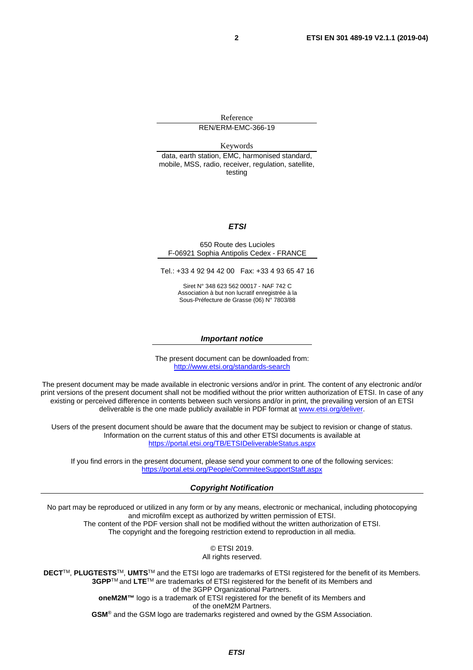Reference REN/ERM-EMC-366-19

Keywords

data, earth station, EMC, harmonised standard, mobile, MSS, radio, receiver, regulation, satellite, testing

#### *ETSI*

#### 650 Route des Lucioles F-06921 Sophia Antipolis Cedex - FRANCE

Tel.: +33 4 92 94 42 00 Fax: +33 4 93 65 47 16

Siret N° 348 623 562 00017 - NAF 742 C Association à but non lucratif enregistrée à la Sous-Préfecture de Grasse (06) N° 7803/88

#### *Important notice*

The present document can be downloaded from: <http://www.etsi.org/standards-search>

The present document may be made available in electronic versions and/or in print. The content of any electronic and/or print versions of the present document shall not be modified without the prior written authorization of ETSI. In case of any existing or perceived difference in contents between such versions and/or in print, the prevailing version of an ETSI deliverable is the one made publicly available in PDF format at [www.etsi.org/deliver](http://www.etsi.org/deliver).

Users of the present document should be aware that the document may be subject to revision or change of status. Information on the current status of this and other ETSI documents is available at <https://portal.etsi.org/TB/ETSIDeliverableStatus.aspx>

If you find errors in the present document, please send your comment to one of the following services: <https://portal.etsi.org/People/CommiteeSupportStaff.aspx>

#### *Copyright Notification*

No part may be reproduced or utilized in any form or by any means, electronic or mechanical, including photocopying and microfilm except as authorized by written permission of ETSI. The content of the PDF version shall not be modified without the written authorization of ETSI. The copyright and the foregoing restriction extend to reproduction in all media.

© ETSI 2019.

All rights reserved.

**DECT**TM, **PLUGTESTS**TM, **UMTS**TM and the ETSI logo are trademarks of ETSI registered for the benefit of its Members. **3GPP**TM and **LTE**TM are trademarks of ETSI registered for the benefit of its Members and of the 3GPP Organizational Partners. **oneM2M™** logo is a trademark of ETSI registered for the benefit of its Members and of the oneM2M Partners. **GSM**® and the GSM logo are trademarks registered and owned by the GSM Association.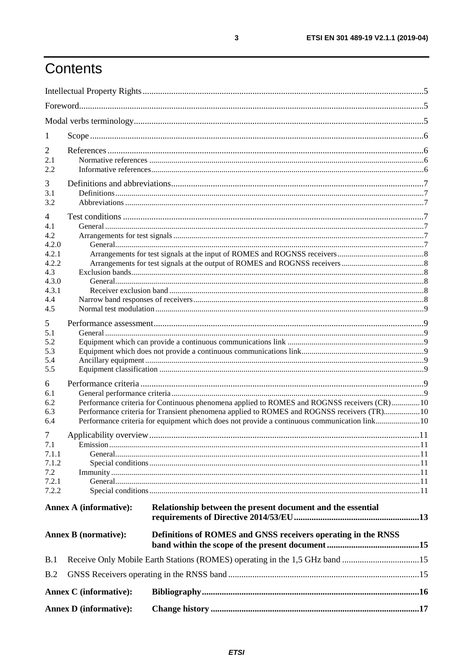# Contents

| 1              |                               |                                                                                             |  |  |
|----------------|-------------------------------|---------------------------------------------------------------------------------------------|--|--|
| 2              |                               |                                                                                             |  |  |
| 2.1            |                               |                                                                                             |  |  |
| 2.2            |                               |                                                                                             |  |  |
| 3              |                               |                                                                                             |  |  |
| 3.1            |                               |                                                                                             |  |  |
| 3.2            |                               |                                                                                             |  |  |
| 4              |                               |                                                                                             |  |  |
| 4.1            |                               |                                                                                             |  |  |
| 4.2<br>4.2.0   |                               |                                                                                             |  |  |
| 4.2.1          |                               |                                                                                             |  |  |
| 4.2.2          |                               |                                                                                             |  |  |
| 4.3            |                               |                                                                                             |  |  |
| 4.3.0          |                               |                                                                                             |  |  |
| 4.3.1          |                               |                                                                                             |  |  |
| 4.4<br>4.5     |                               |                                                                                             |  |  |
|                |                               |                                                                                             |  |  |
| 5<br>5.1       |                               |                                                                                             |  |  |
| 5.2            |                               |                                                                                             |  |  |
| 5.3            |                               |                                                                                             |  |  |
| 5.4            |                               |                                                                                             |  |  |
| 5.5            |                               |                                                                                             |  |  |
| 6              |                               |                                                                                             |  |  |
| 6.1            |                               |                                                                                             |  |  |
| 6.2            |                               | Performance criteria for Continuous phenomena applied to ROMES and ROGNSS receivers (CR)10  |  |  |
| 6.3            |                               | Performance criteria for Transient phenomena applied to ROMES and ROGNSS receivers (TR)10   |  |  |
| 6.4            |                               | Performance criteria for equipment which does not provide a continuous communication link10 |  |  |
| 7              |                               |                                                                                             |  |  |
| 7.1            |                               |                                                                                             |  |  |
| 7.1.1<br>7.1.2 |                               |                                                                                             |  |  |
| 7.2            |                               |                                                                                             |  |  |
| 7.2.1          |                               |                                                                                             |  |  |
| 7.2.2          |                               |                                                                                             |  |  |
|                | <b>Annex A (informative):</b> | Relationship between the present document and the essential                                 |  |  |
|                | <b>Annex B</b> (normative):   | Definitions of ROMES and GNSS receivers operating in the RNSS                               |  |  |
| B.1            |                               | Receive Only Mobile Earth Stations (ROMES) operating in the 1,5 GHz band 15                 |  |  |
| B.2            |                               |                                                                                             |  |  |
|                | Annex C (informative):        |                                                                                             |  |  |
|                | <b>Annex D</b> (informative): |                                                                                             |  |  |
|                |                               |                                                                                             |  |  |

 $\mathbf{3}$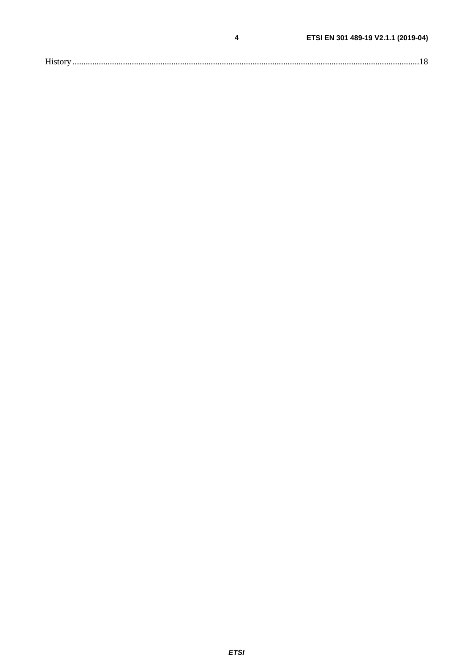|--|

 $\overline{\mathbf{4}}$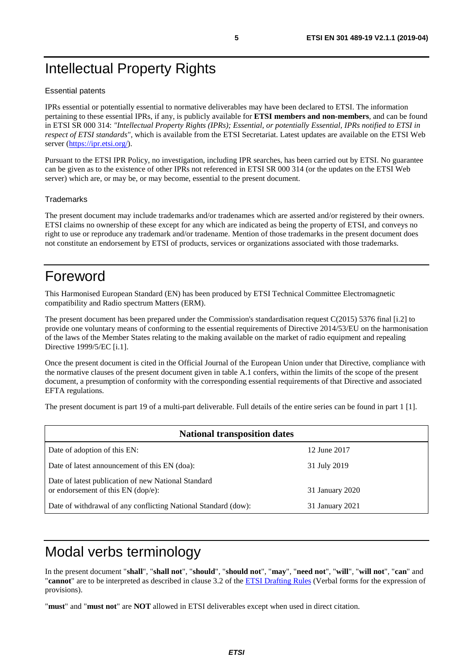# <span id="page-4-0"></span>Intellectual Property Rights

#### Essential patents

IPRs essential or potentially essential to normative deliverables may have been declared to ETSI. The information pertaining to these essential IPRs, if any, is publicly available for **ETSI members and non-members**, and can be found in ETSI SR 000 314: *"Intellectual Property Rights (IPRs); Essential, or potentially Essential, IPRs notified to ETSI in respect of ETSI standards"*, which is available from the ETSI Secretariat. Latest updates are available on the ETSI Web server (<https://ipr.etsi.org/>).

Pursuant to the ETSI IPR Policy, no investigation, including IPR searches, has been carried out by ETSI. No guarantee can be given as to the existence of other IPRs not referenced in ETSI SR 000 314 (or the updates on the ETSI Web server) which are, or may be, or may become, essential to the present document.

#### **Trademarks**

The present document may include trademarks and/or tradenames which are asserted and/or registered by their owners. ETSI claims no ownership of these except for any which are indicated as being the property of ETSI, and conveys no right to use or reproduce any trademark and/or tradename. Mention of those trademarks in the present document does not constitute an endorsement by ETSI of products, services or organizations associated with those trademarks.

# Foreword

This Harmonised European Standard (EN) has been produced by ETSI Technical Committee Electromagnetic compatibility and Radio spectrum Matters (ERM).

The present document has been prepared under the Commission's standardisation request C(2015) 5376 final [\[i.2\]](#page-6-0) to provide one voluntary means of conforming to the essential requirements of Directive 2014/53/EU on the harmonisation of the laws of the Member States relating to the making available on the market of radio equipment and repealing Directive 1999/5/EC [\[i.1](#page-6-0)].

Once the present document is cited in the Official Journal of the European Union under that Directive, compliance with the normative clauses of the present document given in table A.1 confers, within the limits of the scope of the present document, a presumption of conformity with the corresponding essential requirements of that Directive and associated EFTA regulations.

The present document is part 19 of a multi-part deliverable. Full details of the entire series can be found in part 1 [[1\]](#page-5-0).

| <b>National transposition dates</b>                                                       |                 |  |  |  |
|-------------------------------------------------------------------------------------------|-----------------|--|--|--|
| Date of adoption of this EN:                                                              | 12 June 2017    |  |  |  |
| Date of latest announcement of this EN (doa):                                             | 31 July 2019    |  |  |  |
| Date of latest publication of new National Standard<br>or endorsement of this EN (dop/e): | 31 January 2020 |  |  |  |
| Date of withdrawal of any conflicting National Standard (dow):                            | 31 January 2021 |  |  |  |

# Modal verbs terminology

In the present document "**shall**", "**shall not**", "**should**", "**should not**", "**may**", "**need not**", "**will**", "**will not**", "**can**" and "**cannot**" are to be interpreted as described in clause 3.2 of the [ETSI Drafting Rules](https://portal.etsi.org/Services/editHelp!/Howtostart/ETSIDraftingRules.aspx) (Verbal forms for the expression of provisions).

"**must**" and "**must not**" are **NOT** allowed in ETSI deliverables except when used in direct citation.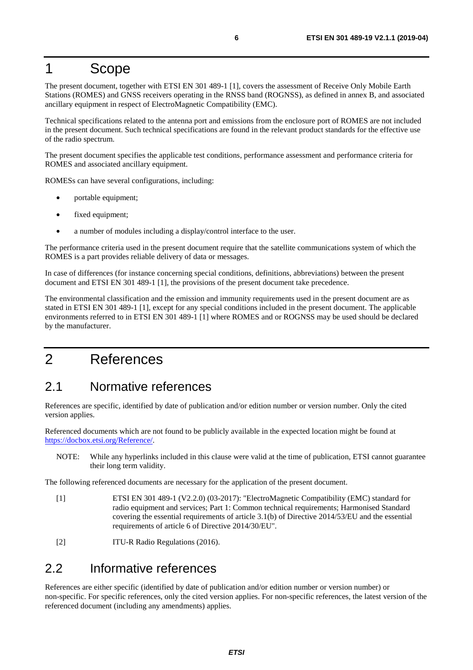# <span id="page-5-0"></span>1 Scope

The present document, together with ETSI EN 301 489-1 [1], covers the assessment of Receive Only Mobile Earth Stations (ROMES) and GNSS receivers operating in the RNSS band (ROGNSS), as defined in annex B, and associated ancillary equipment in respect of ElectroMagnetic Compatibility (EMC).

Technical specifications related to the antenna port and emissions from the enclosure port of ROMES are not included in the present document. Such technical specifications are found in the relevant product standards for the effective use of the radio spectrum.

The present document specifies the applicable test conditions, performance assessment and performance criteria for ROMES and associated ancillary equipment.

ROMESs can have several configurations, including:

- portable equipment;
- fixed equipment;
- a number of modules including a display/control interface to the user.

The performance criteria used in the present document require that the satellite communications system of which the ROMES is a part provides reliable delivery of data or messages.

In case of differences (for instance concerning special conditions, definitions, abbreviations) between the present document and ETSI EN 301 489-1 [1], the provisions of the present document take precedence.

The environmental classification and the emission and immunity requirements used in the present document are as stated in ETSI EN 301 489-1 [1], except for any special conditions included in the present document. The applicable environments referred to in ETSI EN 301 489-1 [1] where ROMES and or ROGNSS may be used should be declared by the manufacturer.

# 2 References

### 2.1 Normative references

References are specific, identified by date of publication and/or edition number or version number. Only the cited version applies.

Referenced documents which are not found to be publicly available in the expected location might be found at <https://docbox.etsi.org/Reference/>.

NOTE: While any hyperlinks included in this clause were valid at the time of publication, ETSI cannot guarantee their long term validity.

The following referenced documents are necessary for the application of the present document.

- [1] ETSI EN 301 489-1 (V2.2.0) (03-2017): "ElectroMagnetic Compatibility (EMC) standard for radio equipment and services; Part 1: Common technical requirements; Harmonised Standard covering the essential requirements of article 3.1(b) of Directive 2014/53/EU and the essential requirements of article 6 of Directive 2014/30/EU".
- [2] **ITU-R Radio Regulations (2016).**

### 2.2 Informative references

References are either specific (identified by date of publication and/or edition number or version number) or non-specific. For specific references, only the cited version applies. For non-specific references, the latest version of the referenced document (including any amendments) applies.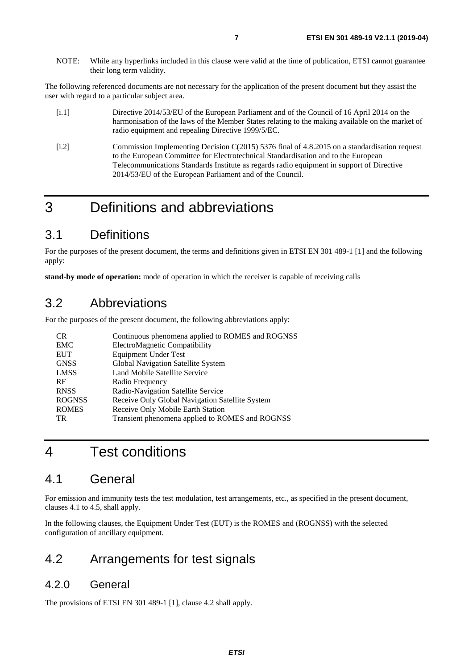<span id="page-6-0"></span>NOTE: While any hyperlinks included in this clause were valid at the time of publication, ETSI cannot guarantee their long term validity.

The following referenced documents are not necessary for the application of the present document but they assist the user with regard to a particular subject area.

- [i.1] Directive 2014/53/EU of the European Parliament and of the Council of 16 April 2014 on the harmonisation of the laws of the Member States relating to the making available on the market of radio equipment and repealing Directive 1999/5/EC.
- [i.2] Commission Implementing Decision C(2015) 5376 final of 4.8.2015 on a standardisation request to the European Committee for Electrotechnical Standardisation and to the European Telecommunications Standards Institute as regards radio equipment in support of Directive 2014/53/EU of the European Parliament and of the Council.

# 3 Definitions and abbreviations

# 3.1 Definitions

For the purposes of the present document, the terms and definitions given in ETSI EN 301 489-1 [[1\]](#page-5-0) and the following apply:

**stand-by mode of operation:** mode of operation in which the receiver is capable of receiving calls

### 3.2 Abbreviations

For the purposes of the present document, the following abbreviations apply:

| <b>CR</b>     | Continuous phenomena applied to ROMES and ROGNSS |
|---------------|--------------------------------------------------|
| EMC           | ElectroMagnetic Compatibility                    |
| <b>EUT</b>    | <b>Equipment Under Test</b>                      |
| <b>GNSS</b>   | Global Navigation Satellite System               |
| <b>LMSS</b>   | Land Mobile Satellite Service                    |
| RF            | Radio Frequency                                  |
| <b>RNSS</b>   | Radio-Navigation Satellite Service               |
| <b>ROGNSS</b> | Receive Only Global Navigation Satellite System  |
| <b>ROMES</b>  | Receive Only Mobile Earth Station                |
| <b>TR</b>     | Transient phenomena applied to ROMES and ROGNSS  |

# 4 Test conditions

### 4.1 General

For emission and immunity tests the test modulation, test arrangements, etc., as specified in the present document, clauses 4.1 to 4.5, shall apply.

In the following clauses, the Equipment Under Test (EUT) is the ROMES and (ROGNSS) with the selected configuration of ancillary equipment.

# 4.2 Arrangements for test signals

#### 4.2.0 General

The provisions of ETSI EN 301 489-1 [[1\]](#page-5-0), clause 4.2 shall apply.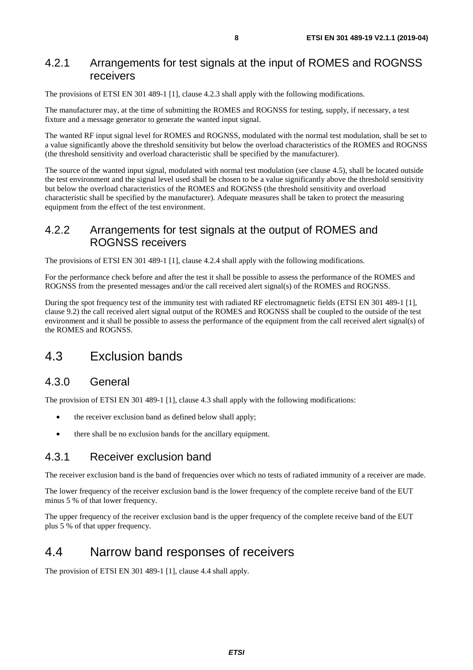#### <span id="page-7-0"></span>4.2.1 Arrangements for test signals at the input of ROMES and ROGNSS receivers

The provisions of ETSI EN 301 489-1 [[1\]](#page-5-0), clause 4.2.3 shall apply with the following modifications.

The manufacturer may, at the time of submitting the ROMES and ROGNSS for testing, supply, if necessary, a test fixture and a message generator to generate the wanted input signal.

The wanted RF input signal level for ROMES and ROGNSS, modulated with the normal test modulation, shall be set to a value significantly above the threshold sensitivity but below the overload characteristics of the ROMES and ROGNSS (the threshold sensitivity and overload characteristic shall be specified by the manufacturer).

The source of the wanted input signal, modulated with normal test modulation (see clause 4.5), shall be located outside the test environment and the signal level used shall be chosen to be a value significantly above the threshold sensitivity but below the overload characteristics of the ROMES and ROGNSS (the threshold sensitivity and overload characteristic shall be specified by the manufacturer). Adequate measures shall be taken to protect the measuring equipment from the effect of the test environment.

### 4.2.2 Arrangements for test signals at the output of ROMES and ROGNSS receivers

The provisions of ETSI EN 301 489-1 [[1\]](#page-5-0), clause 4.2.4 shall apply with the following modifications.

For the performance check before and after the test it shall be possible to assess the performance of the ROMES and ROGNSS from the presented messages and/or the call received alert signal(s) of the ROMES and ROGNSS.

During the spot frequency test of the immunity test with radiated RF electromagnetic fields (ETSI EN 301 489-1 [[1\]](#page-5-0), clause 9.2) the call received alert signal output of the ROMES and ROGNSS shall be coupled to the outside of the test environment and it shall be possible to assess the performance of the equipment from the call received alert signal(s) of the ROMES and ROGNSS.

## 4.3 Exclusion bands

#### 4.3.0 General

The provision of ETSI EN 301 489-1 [[1\]](#page-5-0), clause 4.3 shall apply with the following modifications:

- the receiver exclusion band as defined below shall apply;
- there shall be no exclusion bands for the ancillary equipment.

#### 4.3.1 Receiver exclusion band

The receiver exclusion band is the band of frequencies over which no tests of radiated immunity of a receiver are made.

The lower frequency of the receiver exclusion band is the lower frequency of the complete receive band of the EUT minus 5 % of that lower frequency.

The upper frequency of the receiver exclusion band is the upper frequency of the complete receive band of the EUT plus 5 % of that upper frequency.

### 4.4 Narrow band responses of receivers

The provision of ETSI EN 301 489-1 [[1\]](#page-5-0), clause 4.4 shall apply.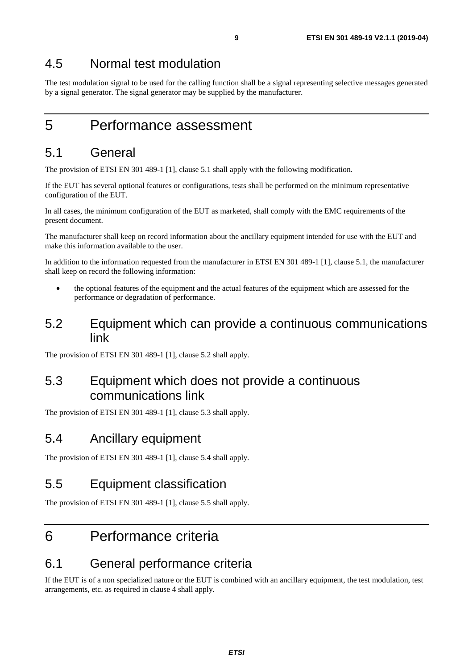### <span id="page-8-0"></span>4.5 Normal test modulation

The test modulation signal to be used for the calling function shall be a signal representing selective messages generated by a signal generator. The signal generator may be supplied by the manufacturer.

# 5 Performance assessment

# 5.1 General

The provision of ETSI EN 301 489-1 [[1\]](#page-5-0), clause 5.1 shall apply with the following modification.

If the EUT has several optional features or configurations, tests shall be performed on the minimum representative configuration of the EUT.

In all cases, the minimum configuration of the EUT as marketed, shall comply with the EMC requirements of the present document.

The manufacturer shall keep on record information about the ancillary equipment intended for use with the EUT and make this information available to the user.

In addition to the information requested from the manufacturer in ETSI EN 301 489-1 [\[1](#page-5-0)], clause 5.1, the manufacturer shall keep on record the following information:

- the optional features of the equipment and the actual features of the equipment which are assessed for the performance or degradation of performance.
- 5.2 Equipment which can provide a continuous communications link

The provision of ETSI EN 301 489-1 [[1\]](#page-5-0), clause 5.2 shall apply.

# 5.3 Equipment which does not provide a continuous communications link

The provision of ETSI EN 301 489-1 [[1\]](#page-5-0), clause 5.3 shall apply.

## 5.4 Ancillary equipment

The provision of ETSI EN 301 489-1 [[1\]](#page-5-0), clause 5.4 shall apply.

## 5.5 Equipment classification

The provision of ETSI EN 301 489-1 [[1\]](#page-5-0), clause 5.5 shall apply.

# 6 Performance criteria

### 6.1 General performance criteria

If the EUT is of a non specialized nature or the EUT is combined with an ancillary equipment, the test modulation, test arrangements, etc. as required in clause 4 shall apply.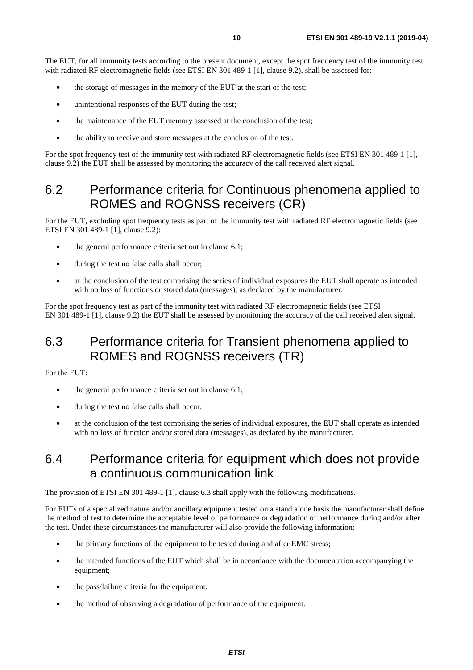<span id="page-9-0"></span>The EUT, for all immunity tests according to the present document, except the spot frequency test of the immunity test with radiated RF electromagnetic fields (see ETSI EN 301 489-1 [\[1](#page-5-0)], clause 9.2), shall be assessed for:

- the storage of messages in the memory of the EUT at the start of the test;
- unintentional responses of the EUT during the test;
- the maintenance of the EUT memory assessed at the conclusion of the test;
- the ability to receive and store messages at the conclusion of the test.

For the spot frequency test of the immunity test with radiated RF electromagnetic fields (see ETSI EN 301 489-1 [\[1](#page-5-0)], clause 9.2) the EUT shall be assessed by monitoring the accuracy of the call received alert signal.

# 6.2 Performance criteria for Continuous phenomena applied to ROMES and ROGNSS receivers (CR)

For the EUT, excluding spot frequency tests as part of the immunity test with radiated RF electromagnetic fields (see ETSI EN 301 489-1 [[1\]](#page-5-0), clause 9.2):

- the general performance criteria set out in clause 6.1;
- during the test no false calls shall occur;
- at the conclusion of the test comprising the series of individual exposures the EUT shall operate as intended with no loss of functions or stored data (messages), as declared by the manufacturer.

For the spot frequency test as part of the immunity test with radiated RF electromagnetic fields (see ETSI EN 301 489-1 [\[1](#page-5-0)], clause 9.2) the EUT shall be assessed by monitoring the accuracy of the call received alert signal.

# 6.3 Performance criteria for Transient phenomena applied to ROMES and ROGNSS receivers (TR)

For the EUT:

- the general performance criteria set out in clause 6.1;
- during the test no false calls shall occur;
- at the conclusion of the test comprising the series of individual exposures, the EUT shall operate as intended with no loss of function and/or stored data (messages), as declared by the manufacturer.

# 6.4 Performance criteria for equipment which does not provide a continuous communication link

The provision of ETSI EN 301 489-1 [[1\]](#page-5-0), clause 6.3 shall apply with the following modifications.

For EUTs of a specialized nature and/or ancillary equipment tested on a stand alone basis the manufacturer shall define the method of test to determine the acceptable level of performance or degradation of performance during and/or after the test. Under these circumstances the manufacturer will also provide the following information:

- the primary functions of the equipment to be tested during and after EMC stress;
- the intended functions of the EUT which shall be in accordance with the documentation accompanying the equipment;
- the pass/failure criteria for the equipment;
- the method of observing a degradation of performance of the equipment.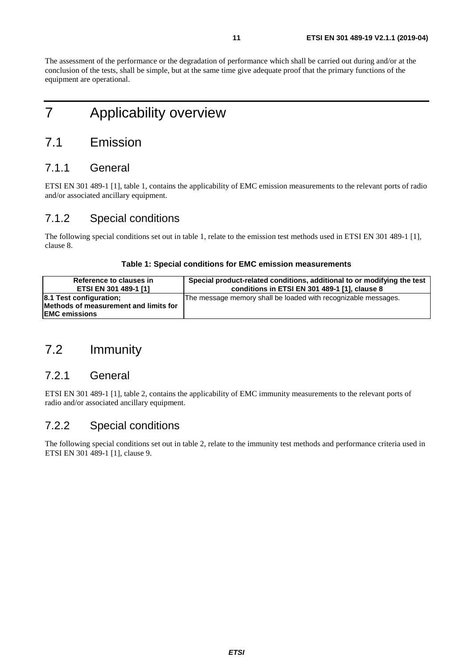<span id="page-10-0"></span>The assessment of the performance or the degradation of performance which shall be carried out during and/or at the conclusion of the tests, shall be simple, but at the same time give adequate proof that the primary functions of the equipment are operational.

# 7 Applicability overview

## 7.1 Emission

#### 7.1.1 General

ETSI EN 301 489-1 [[1\]](#page-5-0), table 1, contains the applicability of EMC emission measurements to the relevant ports of radio and/or associated ancillary equipment.

### 7.1.2 Special conditions

The following special conditions set out in table 1, relate to the emission test methods used in ETSI EN 301 489-1 [\[1](#page-5-0)], clause 8.

#### **Table 1: Special conditions for EMC emission measurements**

| Reference to clauses in                                                                   | Special product-related conditions, additional to or modifying the test |
|-------------------------------------------------------------------------------------------|-------------------------------------------------------------------------|
| ETSI EN 301 489-1 [1]                                                                     | conditions in ETSI EN 301 489-1 [1], clause 8                           |
| 8.1 Test configuration;<br>Methods of measurement and limits for<br><b>IEMC emissions</b> | The message memory shall be loaded with recognizable messages.          |

# 7.2 Immunity

### 7.2.1 General

ETSI EN 301 489-1 [[1\]](#page-5-0), table 2, contains the applicability of EMC immunity measurements to the relevant ports of radio and/or associated ancillary equipment.

#### 7.2.2 Special conditions

The following special conditions set out in table 2, relate to the immunity test methods and performance criteria used in ETSI EN 301 489-1 [[1\]](#page-5-0), clause 9.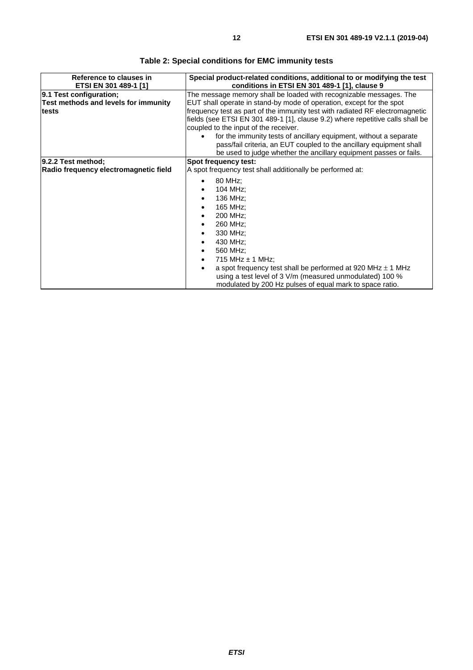| Reference to clauses in                                         | Special product-related conditions, additional to or modifying the test                                                                                                                                                                                                                                                    |  |  |
|-----------------------------------------------------------------|----------------------------------------------------------------------------------------------------------------------------------------------------------------------------------------------------------------------------------------------------------------------------------------------------------------------------|--|--|
| ETSI EN 301 489-1 [1]                                           | conditions in ETSI EN 301 489-1 [1], clause 9                                                                                                                                                                                                                                                                              |  |  |
| 9.1 Test configuration;<br>Test methods and levels for immunity | The message memory shall be loaded with recognizable messages. The<br>EUT shall operate in stand-by mode of operation, except for the spot                                                                                                                                                                                 |  |  |
| ltests                                                          | frequency test as part of the immunity test with radiated RF electromagnetic<br>fields (see ETSI EN 301 489-1 [1], clause 9.2) where repetitive calls shall be<br>coupled to the input of the receiver.                                                                                                                    |  |  |
|                                                                 | for the immunity tests of ancillary equipment, without a separate<br>pass/fail criteria, an EUT coupled to the ancillary equipment shall<br>be used to judge whether the ancillary equipment passes or fails.                                                                                                              |  |  |
| 9.2.2 Test method;                                              | Spot frequency test:                                                                                                                                                                                                                                                                                                       |  |  |
| Radio frequency electromagnetic field                           | A spot frequency test shall additionally be performed at:                                                                                                                                                                                                                                                                  |  |  |
|                                                                 | 80 MHz;<br>104 MHz;<br>136 MHz;<br>165 MHz;<br>200 MHz;<br>260 MHz;<br>330 MHz;<br>430 MHz;<br>560 MHz;<br>715 MHz $\pm$ 1 MHz;<br>a spot frequency test shall be performed at 920 MHz $\pm$ 1 MHz<br>using a test level of 3 V/m (measured unmodulated) 100 %<br>modulated by 200 Hz pulses of equal mark to space ratio. |  |  |

**Table 2: Special conditions for EMC immunity tests**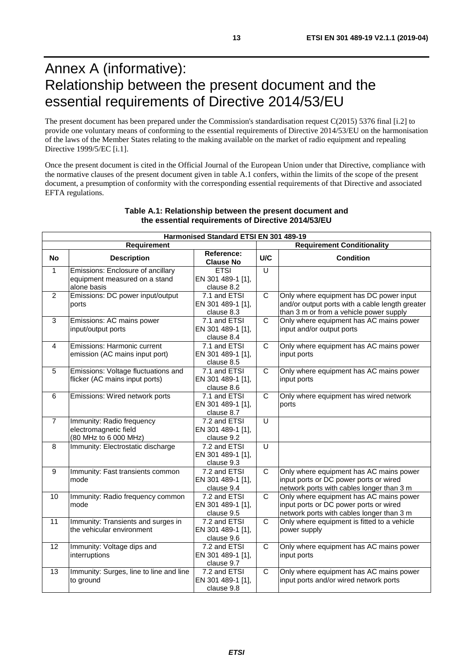# <span id="page-12-0"></span>Annex A (informative): Relationship between the present document and the essential requirements of Directive 2014/53/EU

The present document has been prepared under the Commission's standardisation request C(2015) 5376 final [\[i.2\]](#page-6-0) to provide one voluntary means of conforming to the essential requirements of Directive 2014/53/EU on the harmonisation of the laws of the Member States relating to the making available on the market of radio equipment and repealing Directive 1999/5/EC [\[i.1](#page-6-0)].

Once the present document is cited in the Official Journal of the European Union under that Directive, compliance with the normative clauses of the present document given in table A.1 confers, within the limits of the scope of the present document, a presumption of conformity with the corresponding essential requirements of that Directive and associated EFTA regulations.

|                  |                                                                                   | Harmonised Standard ETSI EN 301 489-19          |                |                                                                                                                                       |  |  |
|------------------|-----------------------------------------------------------------------------------|-------------------------------------------------|----------------|---------------------------------------------------------------------------------------------------------------------------------------|--|--|
| Requirement      |                                                                                   |                                                 |                | <b>Requirement Conditionality</b>                                                                                                     |  |  |
| <b>No</b>        | <b>Description</b>                                                                | Reference:<br><b>Clause No</b>                  | U/C            | <b>Condition</b>                                                                                                                      |  |  |
| $\mathbf{1}$     | Emissions: Enclosure of ancillary<br>equipment measured on a stand<br>alone basis | <b>ETSI</b><br>EN 301 489-1 [1],<br>clause 8.2  | $\overline{U}$ |                                                                                                                                       |  |  |
| $\mathcal{P}$    | Emissions: DC power input/output<br>ports                                         | 7.1 and ETSI<br>EN 301 489-1 [1],<br>clause 8.3 | $\mathsf{C}$   | Only where equipment has DC power input<br>and/or output ports with a cable length greater<br>than 3 m or from a vehicle power supply |  |  |
| 3                | Emissions: AC mains power<br>input/output ports                                   | 7.1 and ETSI<br>EN 301 489-1 [1],<br>clause 8.4 | C              | Only where equipment has AC mains power<br>input and/or output ports                                                                  |  |  |
| $\overline{4}$   | Emissions: Harmonic current<br>emission (AC mains input port)                     | 7.1 and ETSI<br>EN 301 489-1 [1],<br>clause 8.5 | $\mathsf{C}$   | Only where equipment has AC mains power<br>input ports                                                                                |  |  |
| 5                | Emissions: Voltage fluctuations and<br>flicker (AC mains input ports)             | 7.1 and ETSI<br>EN 301 489-1 [1],<br>clause 8.6 | C              | Only where equipment has AC mains power<br>input ports                                                                                |  |  |
| 6                | Emissions: Wired network ports                                                    | 7.1 and ETSI<br>EN 301 489-1 [1],<br>clause 8.7 | $\mathsf{C}$   | Only where equipment has wired network<br>ports                                                                                       |  |  |
| $\overline{7}$   | Immunity: Radio frequency<br>electromagnetic field<br>(80 MHz to 6 000 MHz)       | 7.2 and ETSI<br>EN 301 489-1 [1],<br>clause 9.2 | $\cup$         |                                                                                                                                       |  |  |
| 8                | Immunity: Electrostatic discharge                                                 | 7.2 and ETSI<br>EN 301 489-1 [1],<br>clause 9.3 | U              |                                                                                                                                       |  |  |
| $\boldsymbol{9}$ | Immunity: Fast transients common<br>mode                                          | 7.2 and ETSI<br>EN 301 489-1 [1],<br>clause 9.4 | $\overline{C}$ | Only where equipment has AC mains power<br>input ports or DC power ports or wired<br>network ports with cables longer than 3 m        |  |  |
| 10               | Immunity: Radio frequency common<br>mode                                          | 7.2 and ETSI<br>EN 301 489-1 [1],<br>clause 9.5 | $\mathsf{C}$   | Only where equipment has AC mains power<br>input ports or DC power ports or wired<br>network ports with cables longer than 3 m        |  |  |
| 11               | Immunity: Transients and surges in<br>the vehicular environment                   | 7.2 and ETSI<br>EN 301 489-1 [1],<br>clause 9.6 | $\mathsf{C}$   | Only where equipment is fitted to a vehicle<br>power supply                                                                           |  |  |
| 12               | Immunity: Voltage dips and<br>interruptions                                       | 7.2 and ETSI<br>EN 301 489-1 [1],<br>clause 9.7 | $\mathsf{C}$   | Only where equipment has AC mains power<br>input ports                                                                                |  |  |
| 13               | Immunity: Surges, line to line and line<br>to ground                              | 7.2 and ETSI<br>EN 301 489-1 [1],<br>clause 9.8 | $\mathsf{C}$   | Only where equipment has AC mains power<br>input ports and/or wired network ports                                                     |  |  |

#### **Table A.1: Relationship between the present document and the essential requirements of Directive 2014/53/EU**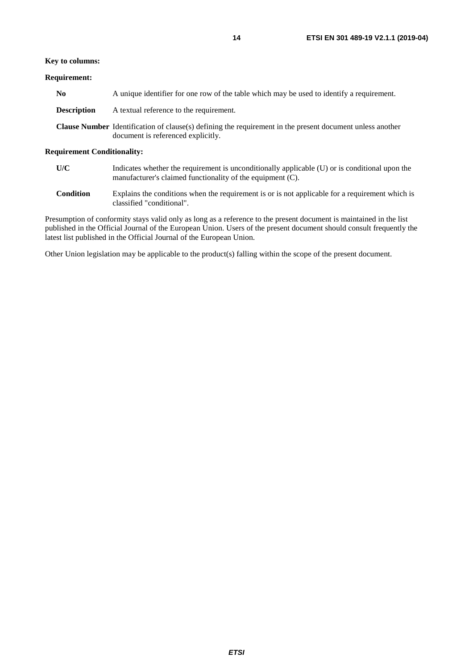#### **Key to columns:**

#### **Requirement:**

| No          | A unique identifier for one row of the table which may be used to identify a requirement.                                                              |
|-------------|--------------------------------------------------------------------------------------------------------------------------------------------------------|
| Description | A textual reference to the requirement.                                                                                                                |
|             | <b>Clause Number</b> Identification of clause(s) defining the requirement in the present document unless another<br>document is referenced explicitly. |

#### **Requirement Conditionality:**

| U/C | Indicates whether the requirement is unconditionally applicable (U) or is conditional upon the |
|-----|------------------------------------------------------------------------------------------------|
|     | manufacturer's claimed functionality of the equipment (C).                                     |

**Condition** Explains the conditions when the requirement is or is not applicable for a requirement which is classified "conditional".

Presumption of conformity stays valid only as long as a reference to the present document is maintained in the list published in the Official Journal of the European Union. Users of the present document should consult frequently the latest list published in the Official Journal of the European Union.

Other Union legislation may be applicable to the product(s) falling within the scope of the present document.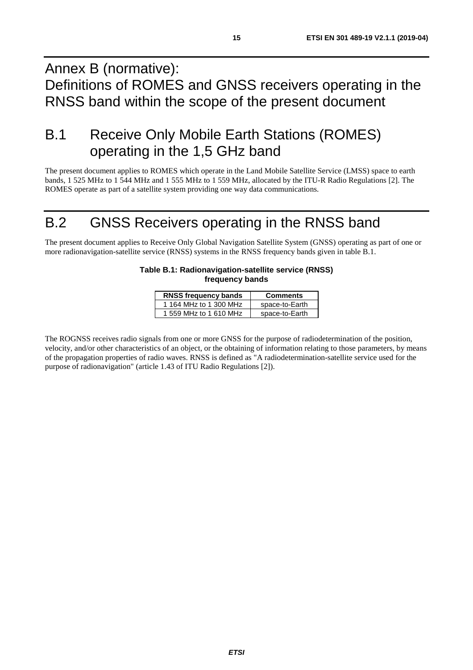# <span id="page-14-0"></span>Annex B (normative): Definitions of ROMES and GNSS receivers operating in the RNSS band within the scope of the present document

# B.1 Receive Only Mobile Earth Stations (ROMES) operating in the 1,5 GHz band

The present document applies to ROMES which operate in the Land Mobile Satellite Service (LMSS) space to earth bands, 1 525 MHz to 1 544 MHz and 1 555 MHz to 1 559 MHz, allocated by the ITU-R Radio Regulations [[2](#page-5-0)]. The ROMES operate as part of a satellite system providing one way data communications.

# B.2 GNSS Receivers operating in the RNSS band

The present document applies to Receive Only Global Navigation Satellite System (GNSS) operating as part of one or more radionavigation-satellite service (RNSS) systems in the RNSS frequency bands given in table B.1.

#### **Table B.1: Radionavigation-satellite service (RNSS) frequency bands**

| <b>RNSS frequency bands</b> | <b>Comments</b> |  |
|-----------------------------|-----------------|--|
| 1 164 MHz to 1 300 MHz      | space-to-Earth  |  |
| 1 559 MHz to 1 610 MHz      | space-to-Earth  |  |

The ROGNSS receives radio signals from one or more GNSS for the purpose of radiodetermination of the position, velocity, and/or other characteristics of an object, or the obtaining of information relating to those parameters, by means of the propagation properties of radio waves. RNSS is defined as "A radiodetermination-satellite service used for the purpose of radionavigation" (article 1.43 of ITU Radio Regulations [\[2](#page-5-0)]).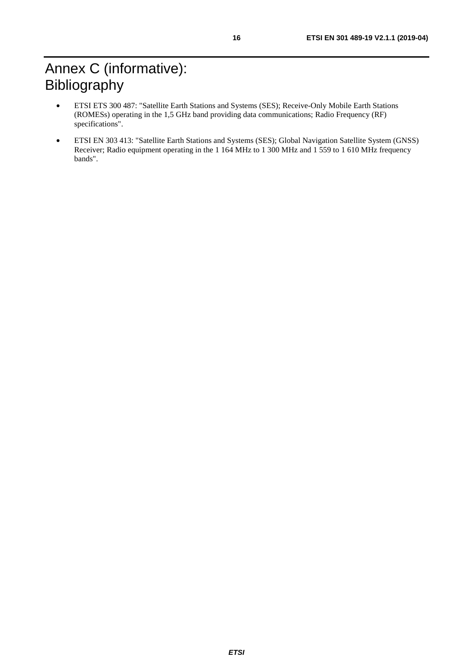- <span id="page-15-0"></span>• ETSI ETS 300 487: "Satellite Earth Stations and Systems (SES); Receive-Only Mobile Earth Stations (ROMESs) operating in the 1,5 GHz band providing data communications; Radio Frequency (RF) specifications".
- ETSI EN 303 413: "Satellite Earth Stations and Systems (SES); Global Navigation Satellite System (GNSS) Receiver; Radio equipment operating in the 1 164 MHz to 1 300 MHz and 1 559 to 1 610 MHz frequency bands".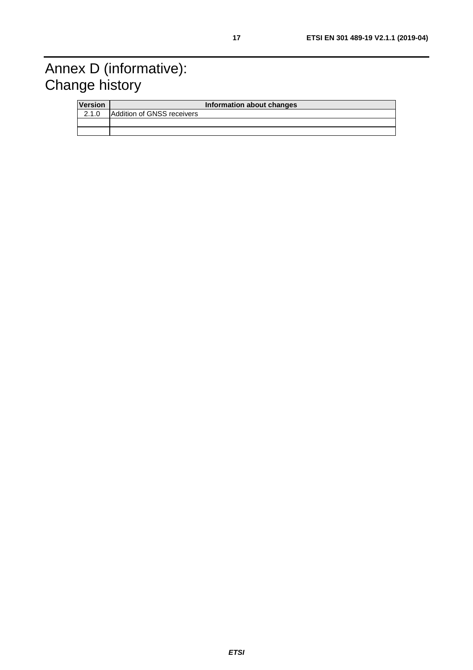# <span id="page-16-0"></span>Annex D (informative): Change history

| <b>Version</b> |                            | Information about changes |
|----------------|----------------------------|---------------------------|
| 2.1.0          | Addition of GNSS receivers |                           |
|                |                            |                           |
|                |                            |                           |